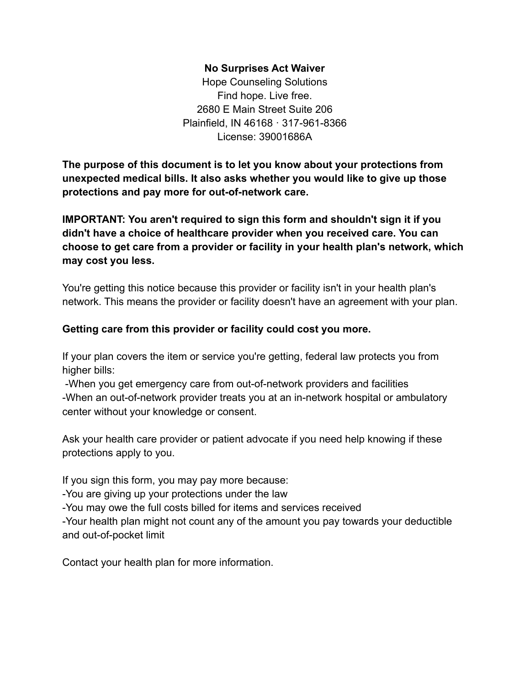#### **No Surprises Act Waiver**

Hope Counseling Solutions Find hope. Live free. 2680 E Main Street Suite 206 Plainfield, IN 46168 · 317-961-8366 License: 39001686A

**The purpose of this document is to let you know about your protections from unexpected medical bills. It also asks whether you would like to give up those protections and pay more for out-of-network care.**

**IMPORTANT: You aren't required to sign this form and shouldn't sign it if you didn't have a choice of healthcare provider when you received care. You can choose to get care from a provider or facility in your health plan's network, which may cost you less.**

You're getting this notice because this provider or facility isn't in your health plan's network. This means the provider or facility doesn't have an agreement with your plan.

### **Getting care from this provider or facility could cost you more.**

If your plan covers the item or service you're getting, federal law protects you from higher bills:

-When you get emergency care from out-of-network providers and facilities -When an out-of-network provider treats you at an in-network hospital or ambulatory center without your knowledge or consent.

Ask your health care provider or patient advocate if you need help knowing if these protections apply to you.

If you sign this form, you may pay more because:

-You are giving up your protections under the law

-You may owe the full costs billed for items and services received

-Your health plan might not count any of the amount you pay towards your deductible and out-of-pocket limit

Contact your health plan for more information.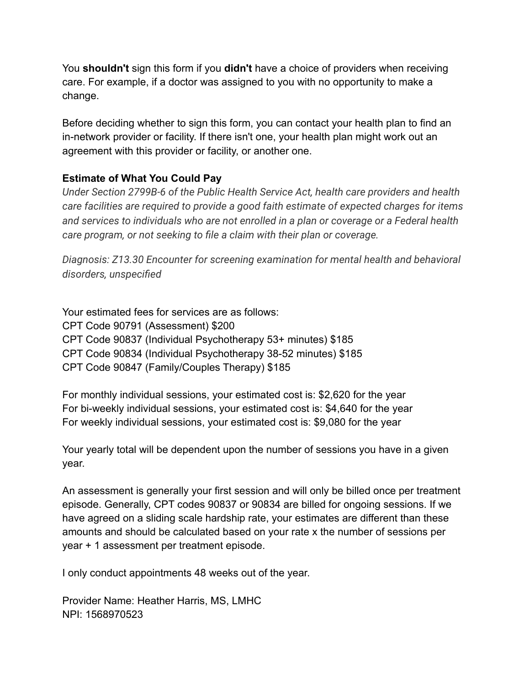You **shouldn't** sign this form if you **didn't** have a choice of providers when receiving care. For example, if a doctor was assigned to you with no opportunity to make a change.

Before deciding whether to sign this form, you can contact your health plan to find an in-network provider or facility. If there isn't one, your health plan might work out an agreement with this provider or facility, or another one.

# **Estimate of What You Could Pay**

*Under Section 2799B-6 of the Public Health Service Act, health care providers and health care facilities are required to provide a good faith estimate of expected charges for items and services to individuals who are not enrolled in a plan or coverage or a Federal health care program, or not seeking to file a claim with their plan or coverage.*

*Diagnosis: Z13.30 Encounter for screening examination for mental health and behavioral disorders, unspecified*

Your estimated fees for services are as follows: CPT Code 90791 (Assessment) \$200 CPT Code 90837 (Individual Psychotherapy 53+ minutes) \$185 CPT Code 90834 (Individual Psychotherapy 38-52 minutes) \$185 CPT Code 90847 (Family/Couples Therapy) \$185

For monthly individual sessions, your estimated cost is: \$2,620 for the year For bi-weekly individual sessions, your estimated cost is: \$4,640 for the year For weekly individual sessions, your estimated cost is: \$9,080 for the year

Your yearly total will be dependent upon the number of sessions you have in a given year.

An assessment is generally your first session and will only be billed once per treatment episode. Generally, CPT codes 90837 or 90834 are billed for ongoing sessions. If we have agreed on a sliding scale hardship rate, your estimates are different than these amounts and should be calculated based on your rate x the number of sessions per year + 1 assessment per treatment episode.

I only conduct appointments 48 weeks out of the year.

Provider Name: Heather Harris, MS, LMHC NPI: 1568970523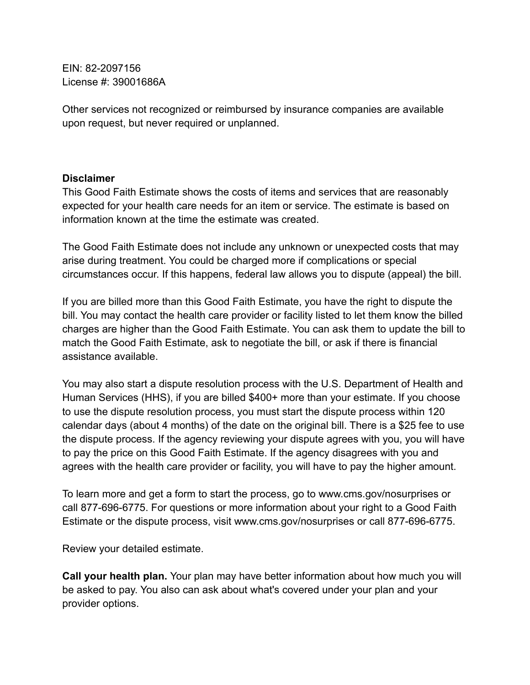EIN: 82-2097156 License #: 39001686A

Other services not recognized or reimbursed by insurance companies are available upon request, but never required or unplanned.

### **Disclaimer**

This Good Faith Estimate shows the costs of items and services that are reasonably expected for your health care needs for an item or service. The estimate is based on information known at the time the estimate was created.

The Good Faith Estimate does not include any unknown or unexpected costs that may arise during treatment. You could be charged more if complications or special circumstances occur. If this happens, federal law allows you to dispute (appeal) the bill.

If you are billed more than this Good Faith Estimate, you have the right to dispute the bill. You may contact the health care provider or facility listed to let them know the billed charges are higher than the Good Faith Estimate. You can ask them to update the bill to match the Good Faith Estimate, ask to negotiate the bill, or ask if there is financial assistance available.

You may also start a dispute resolution process with the U.S. Department of Health and Human Services (HHS), if you are billed \$400+ more than your estimate. If you choose to use the dispute resolution process, you must start the dispute process within 120 calendar days (about 4 months) of the date on the original bill. There is a \$25 fee to use the dispute process. If the agency reviewing your dispute agrees with you, you will have to pay the price on this Good Faith Estimate. If the agency disagrees with you and agrees with the health care provider or facility, you will have to pay the higher amount.

To learn more and get a form to start the process, go to www.cms.gov/nosurprises or call 877-696-6775. For questions or more information about your right to a Good Faith Estimate or the dispute process, visit www.cms.gov/nosurprises or call 877-696-6775.

Review your detailed estimate.

**Call your health plan.** Your plan may have better information about how much you will be asked to pay. You also can ask about what's covered under your plan and your provider options.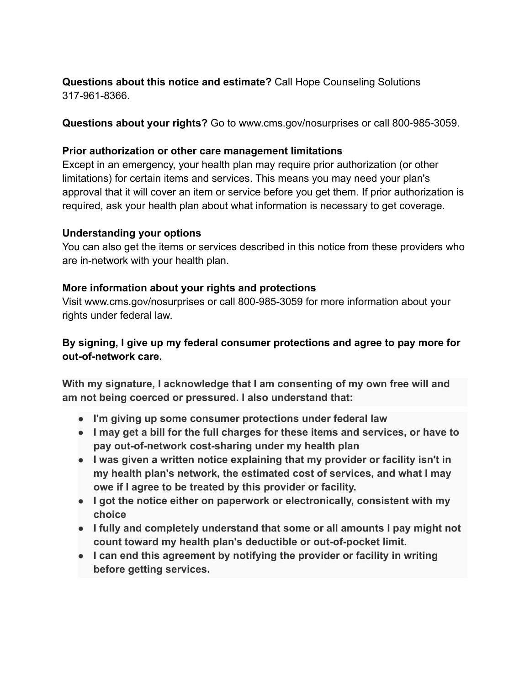## **Questions about this notice and estimate?** Call Hope Counseling Solutions 317-961-8366.

**Questions about your rights?** Go to www.cms.gov/nosurprises or call 800-985-3059.

### **Prior authorization or other care management limitations**

Except in an emergency, your health plan may require prior authorization (or other limitations) for certain items and services. This means you may need your plan's approval that it will cover an item or service before you get them. If prior authorization is required, ask your health plan about what information is necessary to get coverage.

### **Understanding your options**

You can also get the items or services described in this notice from these providers who are in-network with your health plan.

### **More information about your rights and protections**

Visit www.cms.gov/nosurprises or call 800-985-3059 for more information about your rights under federal law.

## **By signing, I give up my federal consumer protections and agree to pay more for out-of-network care.**

**With my signature, I acknowledge that I am consenting of my own free will and am not being coerced or pressured. I also understand that:**

- **● I'm giving up some consumer protections under federal law**
- **● I may get a bill for the full charges for these items and services, or have to pay out-of-network cost-sharing under my health plan**
- **● I was given a written notice explaining that my provider or facility isn't in my health plan's network, the estimated cost of services, and what I may owe if I agree to be treated by this provider or facility.**
- **● I got the notice either on paperwork or electronically, consistent with my choice**
- **● I fully and completely understand that some or all amounts I pay might not count toward my health plan's deductible or out-of-pocket limit.**
- **● I can end this agreement by notifying the provider or facility in writing before getting services.**